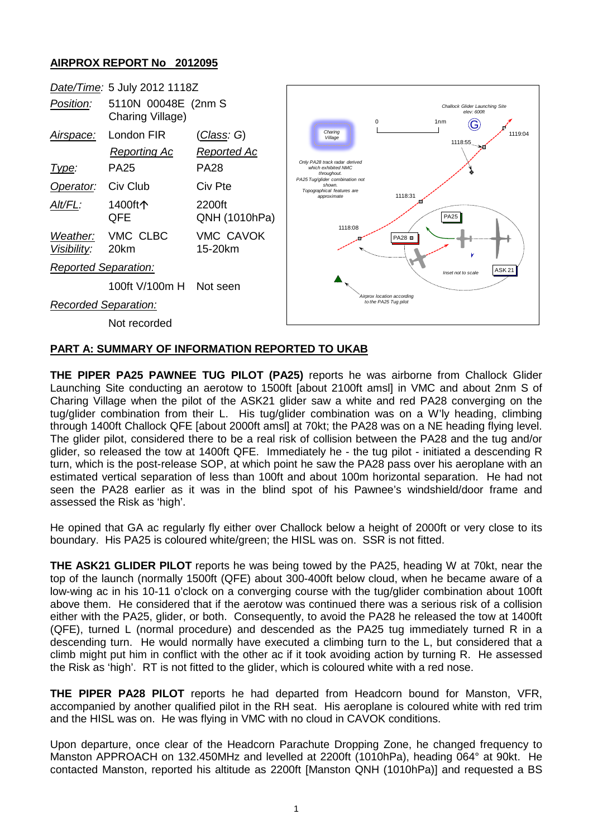## **AIRPROX REPORT No 2012095**



## **PART A: SUMMARY OF INFORMATION REPORTED TO UKAB**

**THE PIPER PA25 PAWNEE TUG PILOT (PA25)** reports he was airborne from Challock Glider Launching Site conducting an aerotow to 1500ft [about 2100ft amsl] in VMC and about 2nm S of Charing Village when the pilot of the ASK21 glider saw a white and red PA28 converging on the tug/glider combination from their L. His tug/glider combination was on a W'ly heading, climbing through 1400ft Challock QFE [about 2000ft amsl] at 70kt; the PA28 was on a NE heading flying level. The glider pilot, considered there to be a real risk of collision between the PA28 and the tug and/or glider, so released the tow at 1400ft QFE. Immediately he - the tug pilot - initiated a descending R turn, which is the post-release SOP, at which point he saw the PA28 pass over his aeroplane with an estimated vertical separation of less than 100ft and about 100m horizontal separation. He had not seen the PA28 earlier as it was in the blind spot of his Pawnee's windshield/door frame and assessed the Risk as 'high'.

He opined that GA ac regularly fly either over Challock below a height of 2000ft or very close to its boundary. His PA25 is coloured white/green; the HISL was on. SSR is not fitted.

**THE ASK21 GLIDER PILOT** reports he was being towed by the PA25, heading W at 70kt, near the top of the launch (normally 1500ft (QFE) about 300-400ft below cloud, when he became aware of a low-wing ac in his 10-11 o'clock on a converging course with the tug/glider combination about 100ft above them. He considered that if the aerotow was continued there was a serious risk of a collision either with the PA25, glider, or both. Consequently, to avoid the PA28 he released the tow at 1400ft (QFE), turned L (normal procedure) and descended as the PA25 tug immediately turned R in a descending turn. He would normally have executed a climbing turn to the L, but considered that a climb might put him in conflict with the other ac if it took avoiding action by turning R. He assessed the Risk as 'high'. RT is not fitted to the glider, which is coloured white with a red nose.

**THE PIPER PA28 PILOT** reports he had departed from Headcorn bound for Manston, VFR, accompanied by another qualified pilot in the RH seat. His aeroplane is coloured white with red trim and the HISL was on. He was flying in VMC with no cloud in CAVOK conditions.

Upon departure, once clear of the Headcorn Parachute Dropping Zone, he changed frequency to Manston APPROACH on 132.450MHz and levelled at 2200ft (1010hPa), heading 064° at 90kt. He contacted Manston, reported his altitude as 2200ft [Manston QNH (1010hPa)] and requested a BS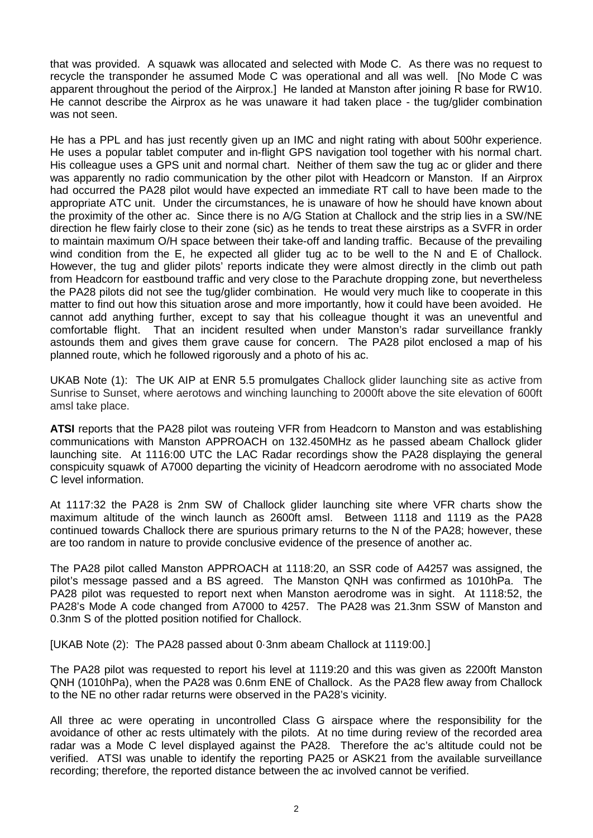that was provided. A squawk was allocated and selected with Mode C. As there was no request to recycle the transponder he assumed Mode C was operational and all was well. [No Mode C was apparent throughout the period of the Airprox.] He landed at Manston after joining R base for RW10. He cannot describe the Airprox as he was unaware it had taken place - the tug/glider combination was not seen.

He has a PPL and has just recently given up an IMC and night rating with about 500hr experience. He uses a popular tablet computer and in-flight GPS navigation tool together with his normal chart. His colleague uses a GPS unit and normal chart. Neither of them saw the tug ac or glider and there was apparently no radio communication by the other pilot with Headcorn or Manston. If an Airprox had occurred the PA28 pilot would have expected an immediate RT call to have been made to the appropriate ATC unit. Under the circumstances, he is unaware of how he should have known about the proximity of the other ac. Since there is no A/G Station at Challock and the strip lies in a SW/NE direction he flew fairly close to their zone (sic) as he tends to treat these airstrips as a SVFR in order to maintain maximum O/H space between their take-off and landing traffic. Because of the prevailing wind condition from the E, he expected all glider tug ac to be well to the N and E of Challock. However, the tug and glider pilots' reports indicate they were almost directly in the climb out path from Headcorn for eastbound traffic and very close to the Parachute dropping zone, but nevertheless the PA28 pilots did not see the tug/glider combination. He would very much like to cooperate in this matter to find out how this situation arose and more importantly, how it could have been avoided. He cannot add anything further, except to say that his colleague thought it was an uneventful and comfortable flight. That an incident resulted when under Manston's radar surveillance frankly astounds them and gives them grave cause for concern. The PA28 pilot enclosed a map of his planned route, which he followed rigorously and a photo of his ac.

UKAB Note (1): The UK AIP at ENR 5.5 promulgates Challock glider launching site as active from Sunrise to Sunset, where aerotows and winching launching to 2000ft above the site elevation of 600ft amsl take place.

**ATSI** reports that the PA28 pilot was routeing VFR from Headcorn to Manston and was establishing communications with Manston APPROACH on 132.450MHz as he passed abeam Challock glider launching site. At 1116:00 UTC the LAC Radar recordings show the PA28 displaying the general conspicuity squawk of A7000 departing the vicinity of Headcorn aerodrome with no associated Mode C level information.

At 1117:32 the PA28 is 2nm SW of Challock glider launching site where VFR charts show the maximum altitude of the winch launch as 2600ft amsl. Between 1118 and 1119 as the PA28 continued towards Challock there are spurious primary returns to the N of the PA28; however, these are too random in nature to provide conclusive evidence of the presence of another ac.

The PA28 pilot called Manston APPROACH at 1118:20, an SSR code of A4257 was assigned, the pilot's message passed and a BS agreed. The Manston QNH was confirmed as 1010hPa. The PA28 pilot was requested to report next when Manston aerodrome was in sight. At 1118:52, the PA28's Mode A code changed from A7000 to 4257. The PA28 was 21.3nm SSW of Manston and 0.3nm S of the plotted position notified for Challock.

[UKAB Note (2): The PA28 passed about 0·3nm abeam Challock at 1119:00.]

The PA28 pilot was requested to report his level at 1119:20 and this was given as 2200ft Manston QNH (1010hPa), when the PA28 was 0.6nm ENE of Challock. As the PA28 flew away from Challock to the NE no other radar returns were observed in the PA28's vicinity.

All three ac were operating in uncontrolled Class G airspace where the responsibility for the avoidance of other ac rests ultimately with the pilots. At no time during review of the recorded area radar was a Mode C level displayed against the PA28. Therefore the ac's altitude could not be verified. ATSI was unable to identify the reporting PA25 or ASK21 from the available surveillance recording; therefore, the reported distance between the ac involved cannot be verified.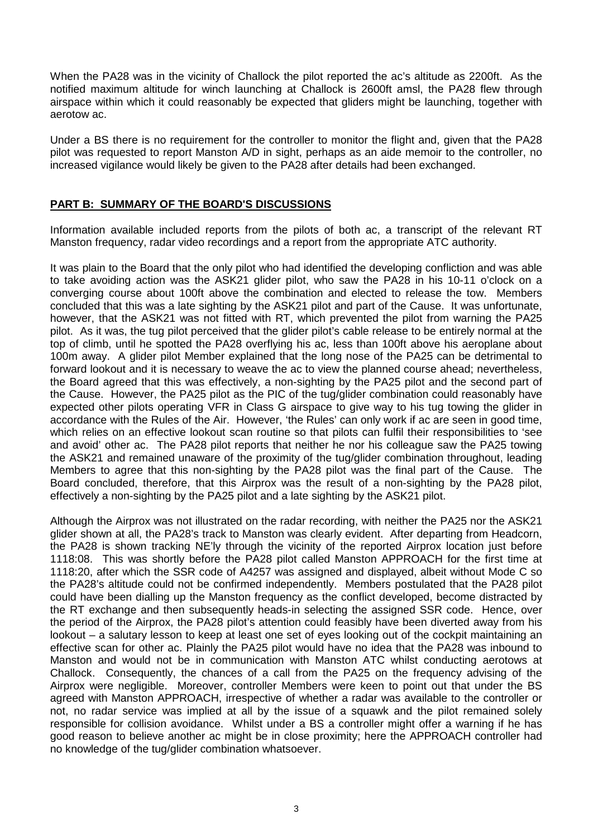When the PA28 was in the vicinity of Challock the pilot reported the ac's altitude as 2200ft. As the notified maximum altitude for winch launching at Challock is 2600ft amsl, the PA28 flew through airspace within which it could reasonably be expected that gliders might be launching, together with aerotow ac.

Under a BS there is no requirement for the controller to monitor the flight and, given that the PA28 pilot was requested to report Manston A/D in sight, perhaps as an aide memoir to the controller, no increased vigilance would likely be given to the PA28 after details had been exchanged.

## **PART B: SUMMARY OF THE BOARD'S DISCUSSIONS**

Information available included reports from the pilots of both ac, a transcript of the relevant RT Manston frequency, radar video recordings and a report from the appropriate ATC authority.

It was plain to the Board that the only pilot who had identified the developing confliction and was able to take avoiding action was the ASK21 glider pilot, who saw the PA28 in his 10-11 o'clock on a converging course about 100ft above the combination and elected to release the tow. Members concluded that this was a late sighting by the ASK21 pilot and part of the Cause. It was unfortunate, however, that the ASK21 was not fitted with RT, which prevented the pilot from warning the PA25 pilot. As it was, the tug pilot perceived that the glider pilot's cable release to be entirely normal at the top of climb, until he spotted the PA28 overflying his ac, less than 100ft above his aeroplane about 100m away. A glider pilot Member explained that the long nose of the PA25 can be detrimental to forward lookout and it is necessary to weave the ac to view the planned course ahead; nevertheless, the Board agreed that this was effectively, a non-sighting by the PA25 pilot and the second part of the Cause. However, the PA25 pilot as the PIC of the tug/glider combination could reasonably have expected other pilots operating VFR in Class G airspace to give way to his tug towing the glider in accordance with the Rules of the Air. However, 'the Rules' can only work if ac are seen in good time, which relies on an effective lookout scan routine so that pilots can fulfil their responsibilities to 'see and avoid' other ac. The PA28 pilot reports that neither he nor his colleague saw the PA25 towing the ASK21 and remained unaware of the proximity of the tug/glider combination throughout, leading Members to agree that this non-sighting by the PA28 pilot was the final part of the Cause. The Board concluded, therefore, that this Airprox was the result of a non-sighting by the PA28 pilot, effectively a non-sighting by the PA25 pilot and a late sighting by the ASK21 pilot.

Although the Airprox was not illustrated on the radar recording, with neither the PA25 nor the ASK21 glider shown at all, the PA28's track to Manston was clearly evident. After departing from Headcorn, the PA28 is shown tracking NE'ly through the vicinity of the reported Airprox location just before 1118:08. This was shortly before the PA28 pilot called Manston APPROACH for the first time at 1118:20, after which the SSR code of A4257 was assigned and displayed, albeit without Mode C so the PA28's altitude could not be confirmed independently. Members postulated that the PA28 pilot could have been dialling up the Manston frequency as the conflict developed, become distracted by the RT exchange and then subsequently heads-in selecting the assigned SSR code. Hence, over the period of the Airprox, the PA28 pilot's attention could feasibly have been diverted away from his lookout – a salutary lesson to keep at least one set of eyes looking out of the cockpit maintaining an effective scan for other ac. Plainly the PA25 pilot would have no idea that the PA28 was inbound to Manston and would not be in communication with Manston ATC whilst conducting aerotows at Challock. Consequently, the chances of a call from the PA25 on the frequency advising of the Airprox were negligible. Moreover, controller Members were keen to point out that under the BS agreed with Manston APPROACH, irrespective of whether a radar was available to the controller or not, no radar service was implied at all by the issue of a squawk and the pilot remained solely responsible for collision avoidance. Whilst under a BS a controller might offer a warning if he has good reason to believe another ac might be in close proximity; here the APPROACH controller had no knowledge of the tug/glider combination whatsoever.